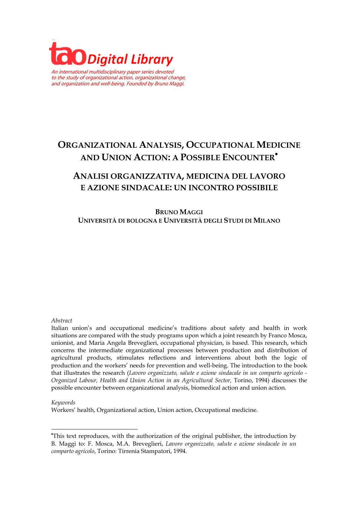

An international multidisciplinary paper series devoted to the study of organizational action, organizational change, and organization and well-being. Founded by Bruno Maggi.

# **ORGANIZATIONAL ANALYSIS, OCCUPATIONAL MEDICINE AND UNION ACTION: A POSSIBLE ENCOUNTER**•

## **ANALISI ORGANIZZATIVA, MEDICINA DEL LAVORO E AZIONE SINDACALE: UN INCONTRO POSSIBILE**

**BRUNO MAGGI UNIVERSITÀ DI BOLOGNA E UNIVERSITÀ DEGLI STUDI DI MILANO**

#### *Abstract*

Italian union's and occupational medicine's traditions about safety and health in work situations are compared with the study programs upon which a joint research by Franco Mosca, unionist, and Maria Angela Breveglieri, occupational physician, is based. This research, which concerns the intermediate organizational processes between production and distribution of agricultural products, stimulates reflections and interventions about both the logic of production and the workers' needs for prevention and well-being. The introduction to the book that illustrates the research (*Lavoro organizzato, salute e azione sindacale in un comparto agricolo - Organized Labour, Health and Union Action in an Agricultural Sector,* Torino, 1994) discusses the possible encounter between organizational analysis, biomedical action and union action.

#### *Keywords*

l

Workers' health, Organizational action, Union action, Occupational medicine.

<sup>•</sup> This text reproduces, with the authorization of the original publisher, the introduction by B. Maggi to: F. Mosca, M.A. Breveglieri, *Lavoro organizzato, salute e azione sindacale in un comparto agricolo*, Torino: Tirrenia Stampatori, 1994.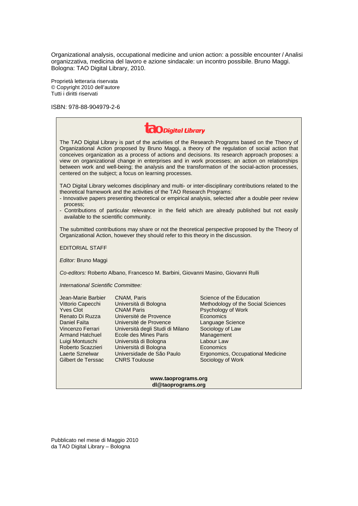Organizational analysis, occupational medicine and union action: a possible encounter / Analisi organizzativa, medicina del lavoro e azione sindacale: un incontro possibile. Bruno Maggi. Bologna: TAO Digital Library, 2010.

Proprietà letteraria riservata © Copyright 2010 dell'autore Tutti i diritti riservati

ISBN: 978-88-904979-2-6

| <b>CO</b> Digital Library                                                                                                                                                                                                                                                                                                                                                                                                                                                                                                                                                |                                                                                                                                                                                                                                              |
|--------------------------------------------------------------------------------------------------------------------------------------------------------------------------------------------------------------------------------------------------------------------------------------------------------------------------------------------------------------------------------------------------------------------------------------------------------------------------------------------------------------------------------------------------------------------------|----------------------------------------------------------------------------------------------------------------------------------------------------------------------------------------------------------------------------------------------|
| The TAO Digital Library is part of the activities of the Research Programs based on the Theory of<br>Organizational Action proposed by Bruno Maggi, a theory of the regulation of social action that<br>conceives organization as a process of actions and decisions. Its research approach proposes: a<br>view on organizational change in enterprises and in work processes; an action on relationships<br>between work and well-being; the analysis and the transformation of the social-action processes,<br>centered on the subject; a focus on learning processes. |                                                                                                                                                                                                                                              |
| TAO Digital Library welcomes disciplinary and multi- or inter-disciplinary contributions related to the<br>theoretical framework and the activities of the TAO Research Programs:<br>- Innovative papers presenting theoretical or empirical analysis, selected after a double peer review<br>process:<br>- Contributions of particular relevance in the field which are already published but not easily<br>available to the scientific community.                                                                                                                      |                                                                                                                                                                                                                                              |
| The submitted contributions may share or not the theoretical perspective proposed by the Theory of<br>Organizational Action, however they should refer to this theory in the discussion.                                                                                                                                                                                                                                                                                                                                                                                 |                                                                                                                                                                                                                                              |
| <b>EDITORIAL STAFF</b>                                                                                                                                                                                                                                                                                                                                                                                                                                                                                                                                                   |                                                                                                                                                                                                                                              |
| Editor: Bruno Maggi                                                                                                                                                                                                                                                                                                                                                                                                                                                                                                                                                      |                                                                                                                                                                                                                                              |
| Co-editors: Roberto Albano, Francesco M. Barbini, Giovanni Masino, Giovanni Rulli                                                                                                                                                                                                                                                                                                                                                                                                                                                                                        |                                                                                                                                                                                                                                              |
| International Scientific Committee:                                                                                                                                                                                                                                                                                                                                                                                                                                                                                                                                      |                                                                                                                                                                                                                                              |
| Jean-Marie Barbier<br>CNAM, Paris<br>Vittorio Capecchi<br>Università di Bologna<br><b>Yves Clot</b><br><b>CNAM Paris</b><br>Renato Di Ruzza<br>Université de Provence<br>Daniel Faïta<br>Université de Provence<br>Vincenzo Ferrari<br>Università degli Studi di Milano<br>Ecole des Mines Paris<br><b>Armand Hatchuel</b><br>Luigi Montuschi<br>Università di Bologna<br>Roberto Scazzieri<br>Università di Bologna<br>Laerte Sznelwar<br>Universidade de São Paulo<br>Gilbert de Terssac<br><b>CNRS Toulouse</b>                                                       | Science of the Education<br>Methodology of the Social Sciences<br>Psychology of Work<br>Economics<br>Language Science<br>Sociology of Law<br>Management<br>Labour Law<br>Economics<br>Ergonomics, Occupational Medicine<br>Sociology of Work |

#### **www.taoprograms.org dl@taoprograms.org**

Pubblicato nel mese di Maggio 2010 da TAO Digital Library – Bologna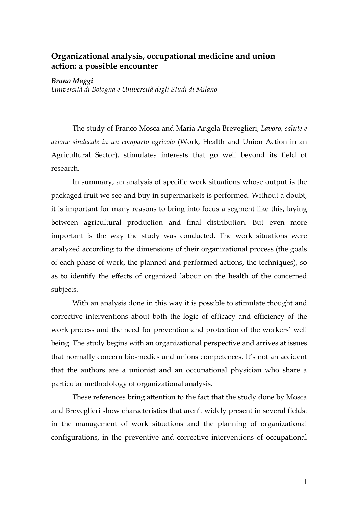### **Organizational analysis, occupational medicine and union action: a possible encounter**

#### *Bruno Maggi*

*Università di Bologna e Università degli Studi di Milano*

The study of Franco Mosca and Maria Angela Breveglieri, *Lavoro, salute e azione sindacale in un comparto agricolo* (Work, Health and Union Action in an Agricultural Sector), stimulates interests that go well beyond its field of research.

In summary, an analysis of specific work situations whose output is the packaged fruit we see and buy in supermarkets is performed. Without a doubt, it is important for many reasons to bring into focus a segment like this, laying between agricultural production and final distribution. But even more important is the way the study was conducted. The work situations were analyzed according to the dimensions of their organizational process (the goals of each phase of work, the planned and performed actions, the techniques), so as to identify the effects of organized labour on the health of the concerned subjects.

With an analysis done in this way it is possible to stimulate thought and corrective interventions about both the logic of efficacy and efficiency of the work process and the need for prevention and protection of the workers' well being. The study begins with an organizational perspective and arrives at issues that normally concern bio-medics and unions competences. It's not an accident that the authors are a unionist and an occupational physician who share a particular methodology of organizational analysis.

These references bring attention to the fact that the study done by Mosca and Breveglieri show characteristics that aren't widely present in several fields: in the management of work situations and the planning of organizational configurations, in the preventive and corrective interventions of occupational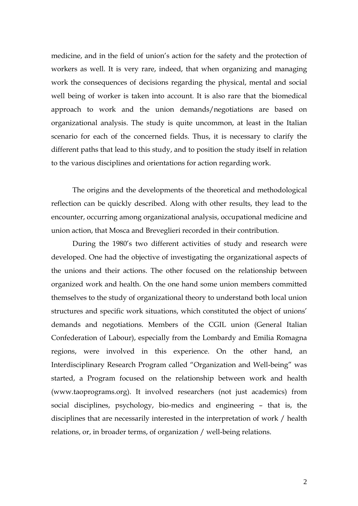medicine, and in the field of union's action for the safety and the protection of workers as well. It is very rare, indeed, that when organizing and managing work the consequences of decisions regarding the physical, mental and social well being of worker is taken into account. It is also rare that the biomedical approach to work and the union demands/negotiations are based on organizational analysis. The study is quite uncommon, at least in the Italian scenario for each of the concerned fields. Thus, it is necessary to clarify the different paths that lead to this study, and to position the study itself in relation to the various disciplines and orientations for action regarding work.

The origins and the developments of the theoretical and methodological reflection can be quickly described. Along with other results, they lead to the encounter, occurring among organizational analysis, occupational medicine and union action, that Mosca and Breveglieri recorded in their contribution.

During the 1980's two different activities of study and research were developed. One had the objective of investigating the organizational aspects of the unions and their actions. The other focused on the relationship between organized work and health. On the one hand some union members committed themselves to the study of organizational theory to understand both local union structures and specific work situations, which constituted the object of unions' demands and negotiations. Members of the CGIL union (General Italian Confederation of Labour), especially from the Lombardy and Emilia Romagna regions, were involved in this experience. On the other hand, an Interdisciplinary Research Program called "Organization and Well-being" was started, a Program focused on the relationship between work and health (www.taoprograms.org). It involved researchers (not just academics) from social disciplines, psychology, bio-medics and engineering – that is, the disciplines that are necessarily interested in the interpretation of work / health relations, or, in broader terms, of organization / well-being relations.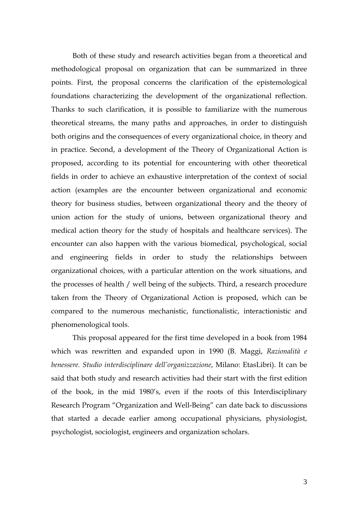Both of these study and research activities began from a theoretical and methodological proposal on organization that can be summarized in three points. First, the proposal concerns the clarification of the epistemological foundations characterizing the development of the organizational reflection. Thanks to such clarification, it is possible to familiarize with the numerous theoretical streams, the many paths and approaches, in order to distinguish both origins and the consequences of every organizational choice, in theory and in practice. Second, a development of the Theory of Organizational Action is proposed, according to its potential for encountering with other theoretical fields in order to achieve an exhaustive interpretation of the context of social action (examples are the encounter between organizational and economic theory for business studies, between organizational theory and the theory of union action for the study of unions, between organizational theory and medical action theory for the study of hospitals and healthcare services). The encounter can also happen with the various biomedical, psychological, social and engineering fields in order to study the relationships between organizational choices, with a particular attention on the work situations, and the processes of health / well being of the subjects. Third, a research procedure taken from the Theory of Organizational Action is proposed, which can be compared to the numerous mechanistic, functionalistic, interactionistic and phenomenological tools.

This proposal appeared for the first time developed in a book from 1984 which was rewritten and expanded upon in 1990 (B. Maggi, *Razionalità e benessere. Studio interdisciplinare dell'organizzazione*, Milano: EtasLibri). It can be said that both study and research activities had their start with the first edition of the book, in the mid 1980's, even if the roots of this Interdisciplinary Research Program "Organization and Well-Being" can date back to discussions that started a decade earlier among occupational physicians, physiologist, psychologist, sociologist, engineers and organization scholars.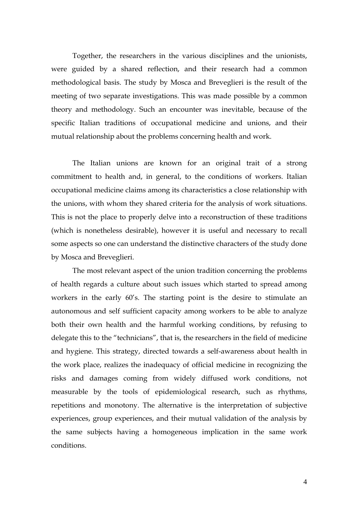Together, the researchers in the various disciplines and the unionists, were guided by a shared reflection, and their research had a common methodological basis. The study by Mosca and Breveglieri is the result of the meeting of two separate investigations. This was made possible by a common theory and methodology. Such an encounter was inevitable, because of the specific Italian traditions of occupational medicine and unions, and their mutual relationship about the problems concerning health and work.

The Italian unions are known for an original trait of a strong commitment to health and, in general, to the conditions of workers. Italian occupational medicine claims among its characteristics a close relationship with the unions, with whom they shared criteria for the analysis of work situations. This is not the place to properly delve into a reconstruction of these traditions (which is nonetheless desirable), however it is useful and necessary to recall some aspects so one can understand the distinctive characters of the study done by Mosca and Breveglieri.

The most relevant aspect of the union tradition concerning the problems of health regards a culture about such issues which started to spread among workers in the early 60's. The starting point is the desire to stimulate an autonomous and self sufficient capacity among workers to be able to analyze both their own health and the harmful working conditions, by refusing to delegate this to the "technicians", that is, the researchers in the field of medicine and hygiene. This strategy, directed towards a self-awareness about health in the work place, realizes the inadequacy of official medicine in recognizing the risks and damages coming from widely diffused work conditions, not measurable by the tools of epidemiological research, such as rhythms, repetitions and monotony. The alternative is the interpretation of subjective experiences, group experiences, and their mutual validation of the analysis by the same subjects having a homogeneous implication in the same work conditions.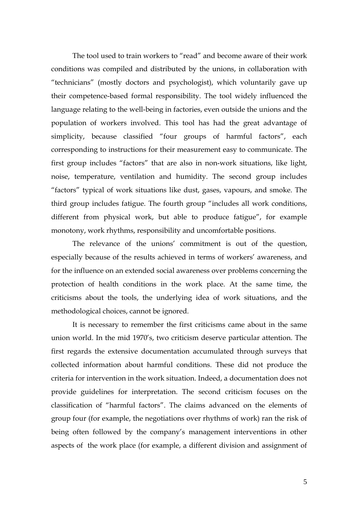The tool used to train workers to "read" and become aware of their work conditions was compiled and distributed by the unions, in collaboration with "technicians" (mostly doctors and psychologist), which voluntarily gave up their competence-based formal responsibility. The tool widely influenced the language relating to the well-being in factories, even outside the unions and the population of workers involved. This tool has had the great advantage of simplicity, because classified "four groups of harmful factors", each corresponding to instructions for their measurement easy to communicate. The first group includes "factors" that are also in non-work situations, like light, noise, temperature, ventilation and humidity. The second group includes "factors" typical of work situations like dust, gases, vapours, and smoke. The third group includes fatigue. The fourth group "includes all work conditions, different from physical work, but able to produce fatigue", for example monotony, work rhythms, responsibility and uncomfortable positions.

The relevance of the unions' commitment is out of the question, especially because of the results achieved in terms of workers' awareness, and for the influence on an extended social awareness over problems concerning the protection of health conditions in the work place. At the same time, the criticisms about the tools, the underlying idea of work situations, and the methodological choices, cannot be ignored.

It is necessary to remember the first criticisms came about in the same union world. In the mid 1970's, two criticism deserve particular attention. The first regards the extensive documentation accumulated through surveys that collected information about harmful conditions. These did not produce the criteria for intervention in the work situation. Indeed, a documentation does not provide guidelines for interpretation. The second criticism focuses on the classification of "harmful factors". The claims advanced on the elements of group four (for example, the negotiations over rhythms of work) ran the risk of being often followed by the company's management interventions in other aspects of the work place (for example, a different division and assignment of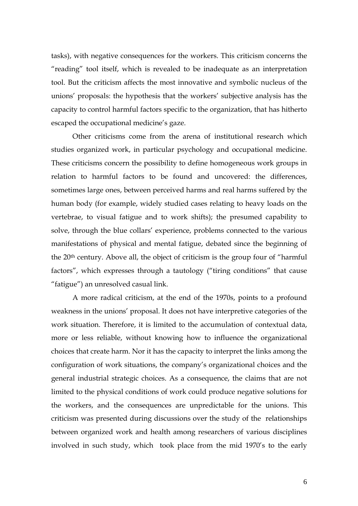tasks), with negative consequences for the workers. This criticism concerns the "reading" tool itself, which is revealed to be inadequate as an interpretation tool. But the criticism affects the most innovative and symbolic nucleus of the unions' proposals: the hypothesis that the workers' subjective analysis has the capacity to control harmful factors specific to the organization, that has hitherto escaped the occupational medicine's gaze.

Other criticisms come from the arena of institutional research which studies organized work, in particular psychology and occupational medicine. These criticisms concern the possibility to define homogeneous work groups in relation to harmful factors to be found and uncovered: the differences, sometimes large ones, between perceived harms and real harms suffered by the human body (for example, widely studied cases relating to heavy loads on the vertebrae, to visual fatigue and to work shifts); the presumed capability to solve, through the blue collars' experience, problems connected to the various manifestations of physical and mental fatigue, debated since the beginning of the 20th century. Above all, the object of criticism is the group four of "harmful factors", which expresses through a tautology ("tiring conditions" that cause "fatigue") an unresolved casual link.

A more radical criticism, at the end of the 1970s, points to a profound weakness in the unions' proposal. It does not have interpretive categories of the work situation. Therefore, it is limited to the accumulation of contextual data, more or less reliable, without knowing how to influence the organizational choices that create harm. Nor it has the capacity to interpret the links among the configuration of work situations, the company's organizational choices and the general industrial strategic choices. As a consequence, the claims that are not limited to the physical conditions of work could produce negative solutions for the workers, and the consequences are unpredictable for the unions. This criticism was presented during discussions over the study of the relationships between organized work and health among researchers of various disciplines involved in such study, which took place from the mid 1970's to the early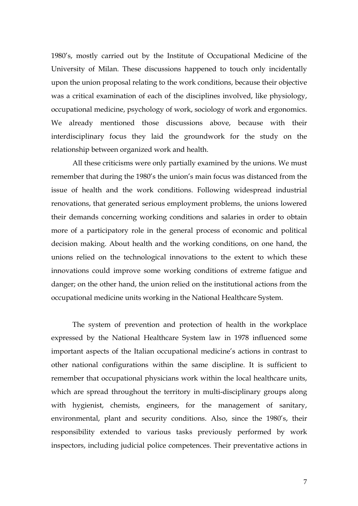1980's, mostly carried out by the Institute of Occupational Medicine of the University of Milan. These discussions happened to touch only incidentally upon the union proposal relating to the work conditions, because their objective was a critical examination of each of the disciplines involved, like physiology, occupational medicine, psychology of work, sociology of work and ergonomics. We already mentioned those discussions above, because with their interdisciplinary focus they laid the groundwork for the study on the relationship between organized work and health.

All these criticisms were only partially examined by the unions. We must remember that during the 1980's the union's main focus was distanced from the issue of health and the work conditions. Following widespread industrial renovations, that generated serious employment problems, the unions lowered their demands concerning working conditions and salaries in order to obtain more of a participatory role in the general process of economic and political decision making. About health and the working conditions, on one hand, the unions relied on the technological innovations to the extent to which these innovations could improve some working conditions of extreme fatigue and danger; on the other hand, the union relied on the institutional actions from the occupational medicine units working in the National Healthcare System.

The system of prevention and protection of health in the workplace expressed by the National Healthcare System law in 1978 influenced some important aspects of the Italian occupational medicine's actions in contrast to other national configurations within the same discipline. It is sufficient to remember that occupational physicians work within the local healthcare units, which are spread throughout the territory in multi-disciplinary groups along with hygienist, chemists, engineers, for the management of sanitary, environmental, plant and security conditions. Also, since the 1980's, their responsibility extended to various tasks previously performed by work inspectors, including judicial police competences. Their preventative actions in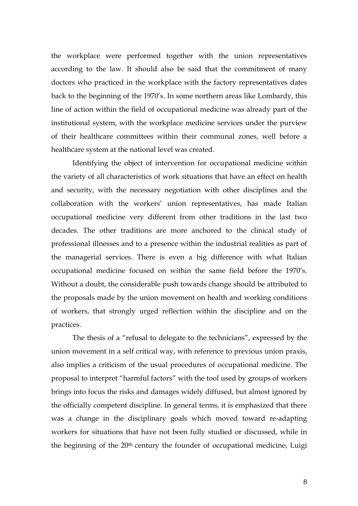the workplace were performed together with the union representatives according to the law. It should also be said that the commitment of many doctors who practiced in the workplace with the factory representatives dates back to the beginning of the 1970's. In some northern areas like Lombardy, this line of action within the field of occupational medicine was already part of the institutional system, with the workplace medicine services under the purview of their healthcare committees within their communal zones, well before a healthcare system at the national level was created.

Identifying the object of intervention for occupational medicine within the variety of all characteristics of work situations that have an effect on health and security, with the necessary negotiation with other disciplines and the collaboration with the workers' union representatives, has made Italian occupational medicine very different from other traditions in the last two decades. The other traditions are more anchored to the clinical study of professional illnesses and to a presence within the industrial realities as part of the managerial services. There is even a big difference with what Italian occupational medicine focused on within the same field before the 1970's. Without a doubt, the considerable push towards change should be attributed to the proposals made by the union movement on health and working conditions of workers, that strongly urged reflection within the discipline and on the practices.

The thesis of a "refusal to delegate to the technicians", expressed by the union movement in a self critical way, with reference to previous union praxis, also implies a criticism of the usual procedures of occupational medicine. The proposal to interpret "harmful factors" with the tool used by groups of workers brings into focus the risks and damages widely diffused, but almost ignored by the officially competent discipline. In general terms, it is emphasized that there was a change in the disciplinary goals which moved toward re-adapting workers for situations that have not been fully studied or discussed, while in the beginning of the 20<sup>th</sup> century the founder of occupational medicine, Luigi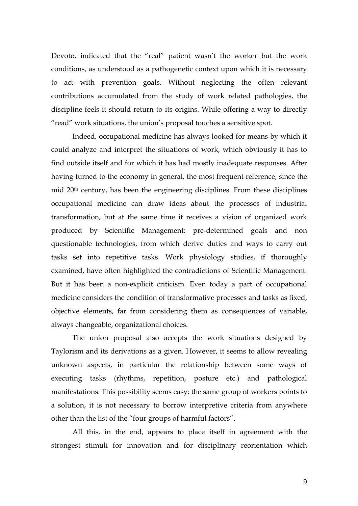Devoto, indicated that the "real" patient wasn't the worker but the work conditions, as understood as a pathogenetic context upon which it is necessary to act with prevention goals. Without neglecting the often relevant contributions accumulated from the study of work related pathologies, the discipline feels it should return to its origins. While offering a way to directly "read" work situations, the union's proposal touches a sensitive spot.

Indeed, occupational medicine has always looked for means by which it could analyze and interpret the situations of work, which obviously it has to find outside itself and for which it has had mostly inadequate responses. After having turned to the economy in general, the most frequent reference, since the mid 20th century, has been the engineering disciplines. From these disciplines occupational medicine can draw ideas about the processes of industrial transformation, but at the same time it receives a vision of organized work produced by Scientific Management: pre-determined goals and non questionable technologies, from which derive duties and ways to carry out tasks set into repetitive tasks. Work physiology studies, if thoroughly examined, have often highlighted the contradictions of Scientific Management. But it has been a non-explicit criticism. Even today a part of occupational medicine considers the condition of transformative processes and tasks as fixed, objective elements, far from considering them as consequences of variable, always changeable, organizational choices.

The union proposal also accepts the work situations designed by Taylorism and its derivations as a given. However, it seems to allow revealing unknown aspects, in particular the relationship between some ways of executing tasks (rhythms, repetition, posture etc.) and pathological manifestations. This possibility seems easy: the same group of workers points to a solution, it is not necessary to borrow interpretive criteria from anywhere other than the list of the "four groups of harmful factors".

All this, in the end, appears to place itself in agreement with the strongest stimuli for innovation and for disciplinary reorientation which

9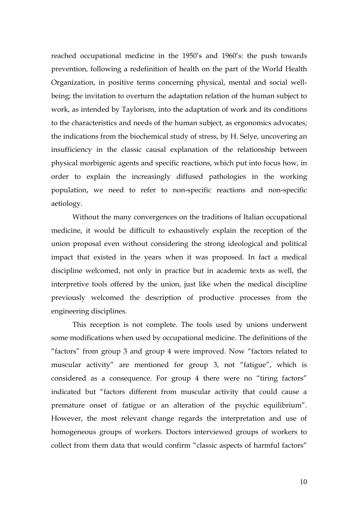reached occupational medicine in the 1950's and 1960's: the push towards prevention, following a redefinition of health on the part of the World Health Organization, in positive terms concerning physical, mental and social wellbeing; the invitation to overturn the adaptation relation of the human subject to work, as intended by Taylorism, into the adaptation of work and its conditions to the characteristics and needs of the human subject, as ergonomics advocates; the indications from the biochemical study of stress, by H. Selye, uncovering an insufficiency in the classic causal explanation of the relationship between physical morbigenic agents and specific reactions, which put into focus how, in order to explain the increasingly diffused pathologies in the working population, we need to refer to non-specific reactions and non-specific aetiology.

Without the many convergences on the traditions of Italian occupational medicine, it would be difficult to exhaustively explain the reception of the union proposal even without considering the strong ideological and political impact that existed in the years when it was proposed. In fact a medical discipline welcomed, not only in practice but in academic texts as well, the interpretive tools offered by the union, just like when the medical discipline previously welcomed the description of productive processes from the engineering disciplines.

This reception is not complete. The tools used by unions underwent some modifications when used by occupational medicine. The definitions of the "factors" from group 3 and group 4 were improved. Now "factors related to muscular activity" are mentioned for group 3, not "fatigue", which is considered as a consequence. For group 4 there were no "tiring factors" indicated but "factors different from muscular activity that could cause a premature onset of fatigue or an alteration of the psychic equilibrium". However, the most relevant change regards the interpretation and use of homogeneous groups of workers. Doctors interviewed groups of workers to collect from them data that would confirm "classic aspects of harmful factors"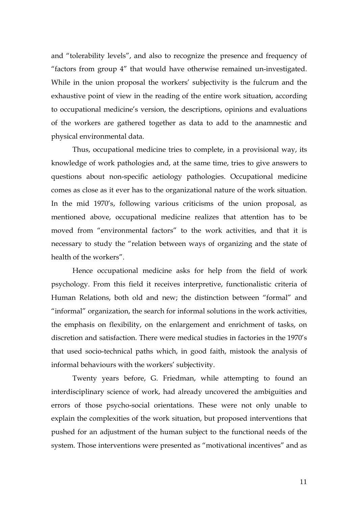and "tolerability levels", and also to recognize the presence and frequency of "factors from group 4" that would have otherwise remained un-investigated. While in the union proposal the workers' subjectivity is the fulcrum and the exhaustive point of view in the reading of the entire work situation, according to occupational medicine's version, the descriptions, opinions and evaluations of the workers are gathered together as data to add to the anamnestic and physical environmental data.

Thus, occupational medicine tries to complete, in a provisional way, its knowledge of work pathologies and, at the same time, tries to give answers to questions about non-specific aetiology pathologies. Occupational medicine comes as close as it ever has to the organizational nature of the work situation. In the mid 1970's, following various criticisms of the union proposal, as mentioned above, occupational medicine realizes that attention has to be moved from "environmental factors" to the work activities, and that it is necessary to study the "relation between ways of organizing and the state of health of the workers".

Hence occupational medicine asks for help from the field of work psychology. From this field it receives interpretive, functionalistic criteria of Human Relations, both old and new; the distinction between "formal" and "informal" organization, the search for informal solutions in the work activities, the emphasis on flexibility, on the enlargement and enrichment of tasks, on discretion and satisfaction. There were medical studies in factories in the 1970's that used socio-technical paths which, in good faith, mistook the analysis of informal behaviours with the workers' subjectivity.

Twenty years before, G. Friedman, while attempting to found an interdisciplinary science of work, had already uncovered the ambiguities and errors of those psycho-social orientations. These were not only unable to explain the complexities of the work situation, but proposed interventions that pushed for an adjustment of the human subject to the functional needs of the system. Those interventions were presented as "motivational incentives" and as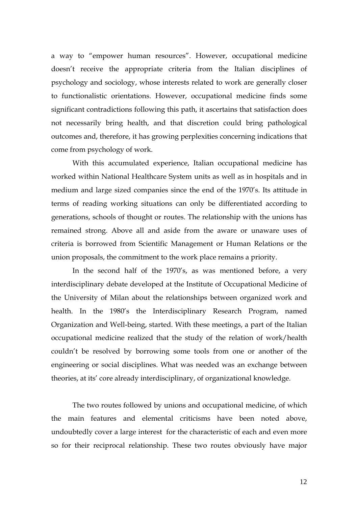a way to "empower human resources". However, occupational medicine doesn't receive the appropriate criteria from the Italian disciplines of psychology and sociology, whose interests related to work are generally closer to functionalistic orientations. However, occupational medicine finds some significant contradictions following this path, it ascertains that satisfaction does not necessarily bring health, and that discretion could bring pathological outcomes and, therefore, it has growing perplexities concerning indications that come from psychology of work.

With this accumulated experience, Italian occupational medicine has worked within National Healthcare System units as well as in hospitals and in medium and large sized companies since the end of the 1970's. Its attitude in terms of reading working situations can only be differentiated according to generations, schools of thought or routes. The relationship with the unions has remained strong. Above all and aside from the aware or unaware uses of criteria is borrowed from Scientific Management or Human Relations or the union proposals, the commitment to the work place remains a priority.

In the second half of the 1970's, as was mentioned before, a very interdisciplinary debate developed at the Institute of Occupational Medicine of the University of Milan about the relationships between organized work and health. In the 1980's the Interdisciplinary Research Program, named Organization and Well-being, started. With these meetings, a part of the Italian occupational medicine realized that the study of the relation of work/health couldn't be resolved by borrowing some tools from one or another of the engineering or social disciplines. What was needed was an exchange between theories, at its' core already interdisciplinary, of organizational knowledge.

The two routes followed by unions and occupational medicine, of which the main features and elemental criticisms have been noted above, undoubtedly cover a large interest for the characteristic of each and even more so for their reciprocal relationship. These two routes obviously have major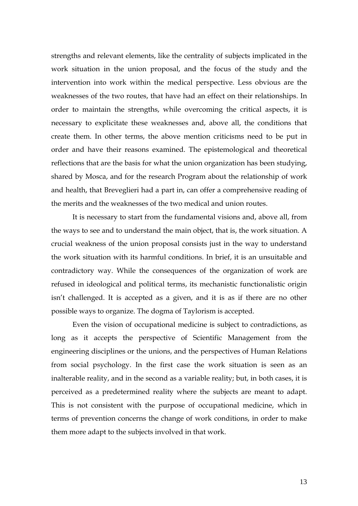strengths and relevant elements, like the centrality of subjects implicated in the work situation in the union proposal, and the focus of the study and the intervention into work within the medical perspective. Less obvious are the weaknesses of the two routes, that have had an effect on their relationships. In order to maintain the strengths, while overcoming the critical aspects, it is necessary to explicitate these weaknesses and, above all, the conditions that create them. In other terms, the above mention criticisms need to be put in order and have their reasons examined. The epistemological and theoretical reflections that are the basis for what the union organization has been studying, shared by Mosca, and for the research Program about the relationship of work and health, that Breveglieri had a part in, can offer a comprehensive reading of the merits and the weaknesses of the two medical and union routes.

It is necessary to start from the fundamental visions and, above all, from the ways to see and to understand the main object, that is, the work situation. A crucial weakness of the union proposal consists just in the way to understand the work situation with its harmful conditions. In brief, it is an unsuitable and contradictory way. While the consequences of the organization of work are refused in ideological and political terms, its mechanistic functionalistic origin isn't challenged. It is accepted as a given, and it is as if there are no other possible ways to organize. The dogma of Taylorism is accepted.

Even the vision of occupational medicine is subject to contradictions, as long as it accepts the perspective of Scientific Management from the engineering disciplines or the unions, and the perspectives of Human Relations from social psychology. In the first case the work situation is seen as an inalterable reality, and in the second as a variable reality; but, in both cases, it is perceived as a predetermined reality where the subjects are meant to adapt. This is not consistent with the purpose of occupational medicine, which in terms of prevention concerns the change of work conditions, in order to make them more adapt to the subjects involved in that work.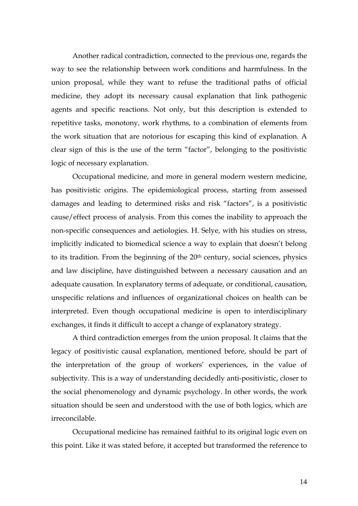Another radical contradiction, connected to the previous one, regards the way to see the relationship between work conditions and harmfulness. In the union proposal, while they want to refuse the traditional paths of official medicine, they adopt its necessary causal explanation that link pathogenic agents and specific reactions. Not only, but this description is extended to repetitive tasks, monotony, work rhythms, to a combination of elements from the work situation that are notorious for escaping this kind of explanation. A clear sign of this is the use of the term "factor", belonging to the positivistic logic of necessary explanation.

Occupational medicine, and more in general modern western medicine, has positivistic origins. The epidemiological process, starting from assessed damages and leading to determined risks and risk "factors", is a positivistic cause/effect process of analysis. From this comes the inability to approach the non-specific consequences and aetiologies. H. Selye, with his studies on stress, implicitly indicated to biomedical science a way to explain that doesn't belong to its tradition. From the beginning of the 20<sup>th</sup> century, social sciences, physics and law discipline, have distinguished between a necessary causation and an adequate causation. In explanatory terms of adequate, or conditional, causation, unspecific relations and influences of organizational choices on health can be interpreted. Even though occupational medicine is open to interdisciplinary exchanges, it finds it difficult to accept a change of explanatory strategy.

A third contradiction emerges from the union proposal. It claims that the legacy of positivistic causal explanation, mentioned before, should be part of the interpretation of the group of workers' experiences, in the value of subjectivity. This is a way of understanding decidedly anti-positivistic, closer to the social phenomenology and dynamic psychology. In other words, the work situation should be seen and understood with the use of both logics, which are irreconcilable.

Occupational medicine has remained faithful to its original logic even on this point. Like it was stated before, it accepted but transformed the reference to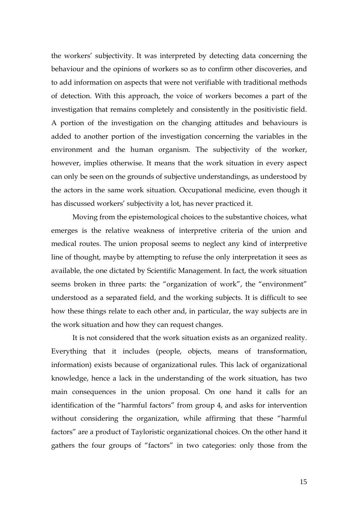the workers' subjectivity. It was interpreted by detecting data concerning the behaviour and the opinions of workers so as to confirm other discoveries, and to add information on aspects that were not verifiable with traditional methods of detection. With this approach, the voice of workers becomes a part of the investigation that remains completely and consistently in the positivistic field. A portion of the investigation on the changing attitudes and behaviours is added to another portion of the investigation concerning the variables in the environment and the human organism. The subjectivity of the worker, however, implies otherwise. It means that the work situation in every aspect can only be seen on the grounds of subjective understandings, as understood by the actors in the same work situation. Occupational medicine, even though it has discussed workers' subjectivity a lot, has never practiced it.

Moving from the epistemological choices to the substantive choices, what emerges is the relative weakness of interpretive criteria of the union and medical routes. The union proposal seems to neglect any kind of interpretive line of thought, maybe by attempting to refuse the only interpretation it sees as available, the one dictated by Scientific Management. In fact, the work situation seems broken in three parts: the "organization of work", the "environment" understood as a separated field, and the working subjects. It is difficult to see how these things relate to each other and, in particular, the way subjects are in the work situation and how they can request changes.

It is not considered that the work situation exists as an organized reality. Everything that it includes (people, objects, means of transformation, information) exists because of organizational rules. This lack of organizational knowledge, hence a lack in the understanding of the work situation, has two main consequences in the union proposal. On one hand it calls for an identification of the "harmful factors" from group 4, and asks for intervention without considering the organization, while affirming that these "harmful factors" are a product of Tayloristic organizational choices. On the other hand it gathers the four groups of "factors" in two categories: only those from the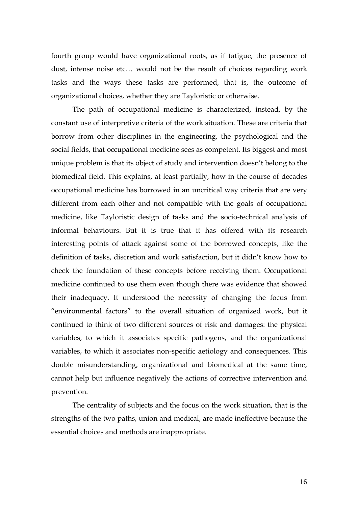fourth group would have organizational roots, as if fatigue, the presence of dust, intense noise etc… would not be the result of choices regarding work tasks and the ways these tasks are performed, that is, the outcome of organizational choices, whether they are Tayloristic or otherwise.

The path of occupational medicine is characterized, instead, by the constant use of interpretive criteria of the work situation. These are criteria that borrow from other disciplines in the engineering, the psychological and the social fields, that occupational medicine sees as competent. Its biggest and most unique problem is that its object of study and intervention doesn't belong to the biomedical field. This explains, at least partially, how in the course of decades occupational medicine has borrowed in an uncritical way criteria that are very different from each other and not compatible with the goals of occupational medicine, like Tayloristic design of tasks and the socio-technical analysis of informal behaviours. But it is true that it has offered with its research interesting points of attack against some of the borrowed concepts, like the definition of tasks, discretion and work satisfaction, but it didn't know how to check the foundation of these concepts before receiving them. Occupational medicine continued to use them even though there was evidence that showed their inadequacy. It understood the necessity of changing the focus from "environmental factors" to the overall situation of organized work, but it continued to think of two different sources of risk and damages: the physical variables, to which it associates specific pathogens, and the organizational variables, to which it associates non-specific aetiology and consequences. This double misunderstanding, organizational and biomedical at the same time, cannot help but influence negatively the actions of corrective intervention and prevention.

The centrality of subjects and the focus on the work situation, that is the strengths of the two paths, union and medical, are made ineffective because the essential choices and methods are inappropriate.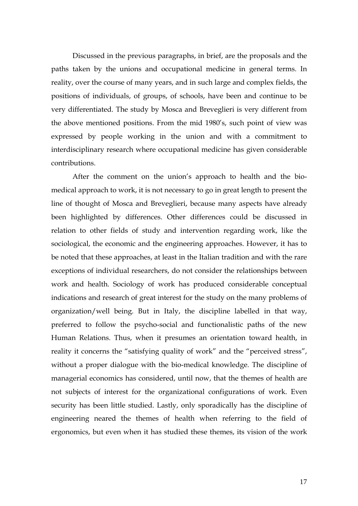Discussed in the previous paragraphs, in brief, are the proposals and the paths taken by the unions and occupational medicine in general terms. In reality, over the course of many years, and in such large and complex fields, the positions of individuals, of groups, of schools, have been and continue to be very differentiated. The study by Mosca and Breveglieri is very different from the above mentioned positions. From the mid 1980's, such point of view was expressed by people working in the union and with a commitment to interdisciplinary research where occupational medicine has given considerable contributions.

After the comment on the union's approach to health and the biomedical approach to work, it is not necessary to go in great length to present the line of thought of Mosca and Breveglieri, because many aspects have already been highlighted by differences. Other differences could be discussed in relation to other fields of study and intervention regarding work, like the sociological, the economic and the engineering approaches. However, it has to be noted that these approaches, at least in the Italian tradition and with the rare exceptions of individual researchers, do not consider the relationships between work and health. Sociology of work has produced considerable conceptual indications and research of great interest for the study on the many problems of organization/well being. But in Italy, the discipline labelled in that way, preferred to follow the psycho-social and functionalistic paths of the new Human Relations. Thus, when it presumes an orientation toward health, in reality it concerns the "satisfying quality of work" and the "perceived stress", without a proper dialogue with the bio-medical knowledge. The discipline of managerial economics has considered, until now, that the themes of health are not subjects of interest for the organizational configurations of work. Even security has been little studied. Lastly, only sporadically has the discipline of engineering neared the themes of health when referring to the field of ergonomics, but even when it has studied these themes, its vision of the work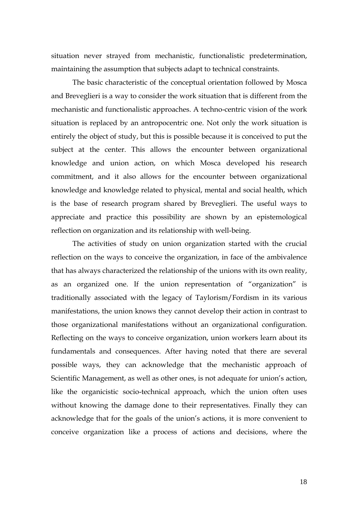situation never strayed from mechanistic, functionalistic predetermination, maintaining the assumption that subjects adapt to technical constraints.

The basic characteristic of the conceptual orientation followed by Mosca and Breveglieri is a way to consider the work situation that is different from the mechanistic and functionalistic approaches. A techno-centric vision of the work situation is replaced by an antropocentric one. Not only the work situation is entirely the object of study, but this is possible because it is conceived to put the subject at the center. This allows the encounter between organizational knowledge and union action, on which Mosca developed his research commitment, and it also allows for the encounter between organizational knowledge and knowledge related to physical, mental and social health, which is the base of research program shared by Breveglieri. The useful ways to appreciate and practice this possibility are shown by an epistemological reflection on organization and its relationship with well-being.

The activities of study on union organization started with the crucial reflection on the ways to conceive the organization, in face of the ambivalence that has always characterized the relationship of the unions with its own reality, as an organized one. If the union representation of "organization" is traditionally associated with the legacy of Taylorism/Fordism in its various manifestations, the union knows they cannot develop their action in contrast to those organizational manifestations without an organizational configuration. Reflecting on the ways to conceive organization, union workers learn about its fundamentals and consequences. After having noted that there are several possible ways, they can acknowledge that the mechanistic approach of Scientific Management, as well as other ones, is not adequate for union's action, like the organicistic socio-technical approach, which the union often uses without knowing the damage done to their representatives. Finally they can acknowledge that for the goals of the union's actions, it is more convenient to conceive organization like a process of actions and decisions, where the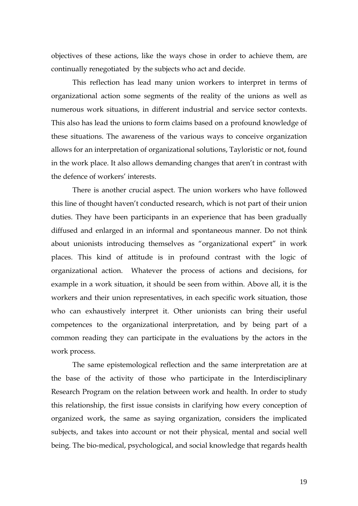objectives of these actions, like the ways chose in order to achieve them, are continually renegotiated by the subjects who act and decide.

This reflection has lead many union workers to interpret in terms of organizational action some segments of the reality of the unions as well as numerous work situations, in different industrial and service sector contexts. This also has lead the unions to form claims based on a profound knowledge of these situations. The awareness of the various ways to conceive organization allows for an interpretation of organizational solutions, Tayloristic or not, found in the work place. It also allows demanding changes that aren't in contrast with the defence of workers' interests.

There is another crucial aspect. The union workers who have followed this line of thought haven't conducted research, which is not part of their union duties. They have been participants in an experience that has been gradually diffused and enlarged in an informal and spontaneous manner. Do not think about unionists introducing themselves as "organizational expert" in work places. This kind of attitude is in profound contrast with the logic of organizational action. Whatever the process of actions and decisions, for example in a work situation, it should be seen from within. Above all, it is the workers and their union representatives, in each specific work situation, those who can exhaustively interpret it. Other unionists can bring their useful competences to the organizational interpretation, and by being part of a common reading they can participate in the evaluations by the actors in the work process.

The same epistemological reflection and the same interpretation are at the base of the activity of those who participate in the Interdisciplinary Research Program on the relation between work and health. In order to study this relationship, the first issue consists in clarifying how every conception of organized work, the same as saying organization, considers the implicated subjects, and takes into account or not their physical, mental and social well being. The bio-medical, psychological, and social knowledge that regards health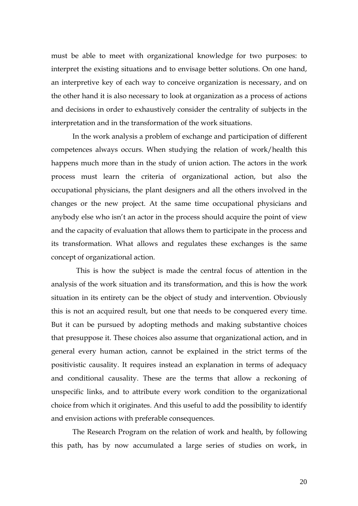must be able to meet with organizational knowledge for two purposes: to interpret the existing situations and to envisage better solutions. On one hand, an interpretive key of each way to conceive organization is necessary, and on the other hand it is also necessary to look at organization as a process of actions and decisions in order to exhaustively consider the centrality of subjects in the interpretation and in the transformation of the work situations.

In the work analysis a problem of exchange and participation of different competences always occurs. When studying the relation of work/health this happens much more than in the study of union action. The actors in the work process must learn the criteria of organizational action, but also the occupational physicians, the plant designers and all the others involved in the changes or the new project. At the same time occupational physicians and anybody else who isn't an actor in the process should acquire the point of view and the capacity of evaluation that allows them to participate in the process and its transformation. What allows and regulates these exchanges is the same concept of organizational action.

 This is how the subject is made the central focus of attention in the analysis of the work situation and its transformation, and this is how the work situation in its entirety can be the object of study and intervention. Obviously this is not an acquired result, but one that needs to be conquered every time. But it can be pursued by adopting methods and making substantive choices that presuppose it. These choices also assume that organizational action, and in general every human action, cannot be explained in the strict terms of the positivistic causality. It requires instead an explanation in terms of adequacy and conditional causality. These are the terms that allow a reckoning of unspecific links, and to attribute every work condition to the organizational choice from which it originates. And this useful to add the possibility to identify and envision actions with preferable consequences.

The Research Program on the relation of work and health, by following this path, has by now accumulated a large series of studies on work, in